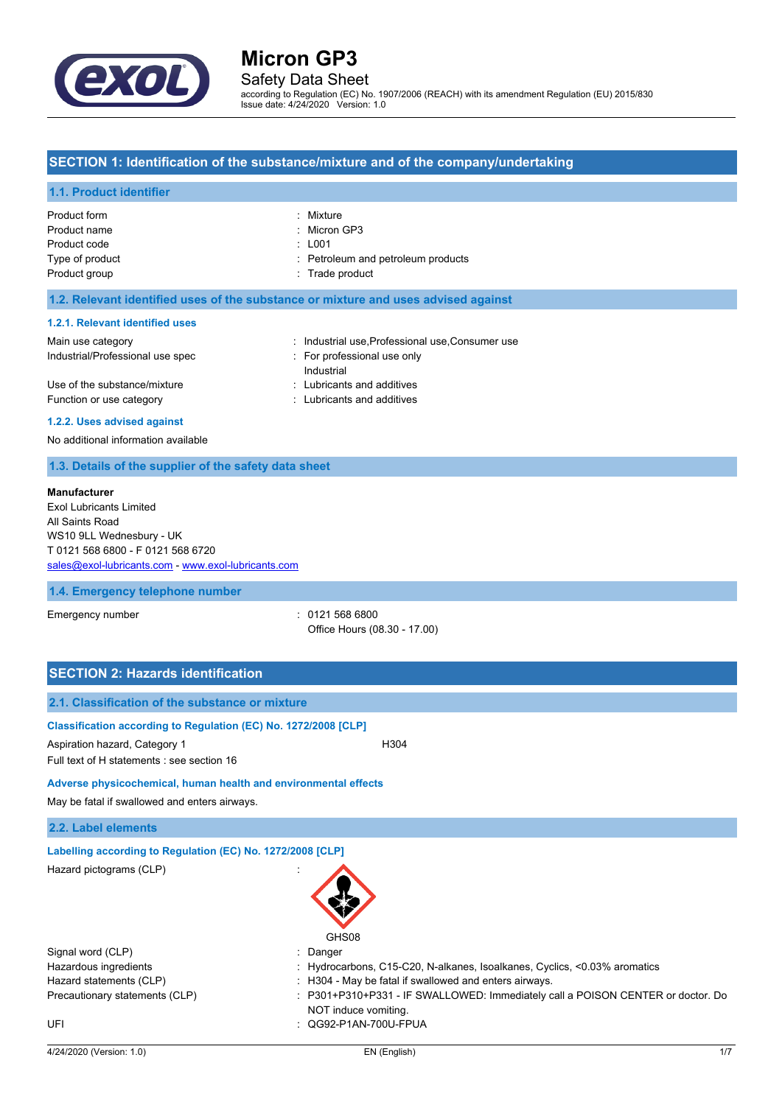

# Safety Data Sheet

according to Regulation (EC) No. 1907/2006 (REACH) with its amendment Regulation (EU) 2015/830 Issue date: 4/24/2020 Version: 1.0

### **SECTION 1: Identification of the substance/mixture and of the company/undertaking**

#### **1.1. Product identifier**

| Product form    | : Mixture                          |
|-----------------|------------------------------------|
| Product name    | : Micron GP3                       |
| Product code    | $\pm 001$                          |
| Type of product | : Petroleum and petroleum products |
| Product group   | : Trade product                    |
|                 |                                    |

#### **1.2. Relevant identified uses of the substance or mixture and uses advised against**

#### **1.2.1. Relevant identified uses**

| Main use category                | : Industrial use Professional use Consumer use |
|----------------------------------|------------------------------------------------|
| Industrial/Professional use spec | For professional use only                      |
|                                  | Industrial                                     |
| Use of the substance/mixture     | : Lubricants and additives                     |
| Function or use category         | : Lubricants and additives                     |
|                                  |                                                |

#### **1.2.2. Uses advised against**

No additional information available

## **1.3. Details of the supplier of the safety data sheet**

#### **Manufacturer**

Exol Lubricants Limited All Saints Road WS10 9LL Wednesbury - UK T 0121 568 6800 - F 0121 568 6720 [sales@exol-lubricants.com](mailto:sales@exol-lubricants.com) - <www.exol-lubricants.com>

#### **1.4. Emergency telephone number**

Emergency number : 0121 568 6800 Office Hours (08.30 - 17.00)

| <b>SECTION 2: Hazards identification</b>                                                                                                       |                                                                                                       |
|------------------------------------------------------------------------------------------------------------------------------------------------|-------------------------------------------------------------------------------------------------------|
| 2.1. Classification of the substance or mixture                                                                                                |                                                                                                       |
| Classification according to Regulation (EC) No. 1272/2008 [CLP]<br>Aspiration hazard, Category 1<br>Full text of H statements : see section 16 | H <sub>304</sub>                                                                                      |
| Adverse physicochemical, human health and environmental effects                                                                                |                                                                                                       |
| May be fatal if swallowed and enters airways.                                                                                                  |                                                                                                       |
| 2.2. Label elements                                                                                                                            |                                                                                                       |
| Labelling according to Regulation (EC) No. 1272/2008 [CLP]                                                                                     |                                                                                                       |
| Hazard pictograms (CLP)                                                                                                                        | GHS08                                                                                                 |
| Signal word (CLP)                                                                                                                              | Danger                                                                                                |
| Hazardous ingredients                                                                                                                          | Hydrocarbons, C15-C20, N-alkanes, Isoalkanes, Cyclics, <0.03% aromatics                               |
| Hazard statements (CLP)                                                                                                                        | H304 - May be fatal if swallowed and enters airways.                                                  |
| Precautionary statements (CLP)                                                                                                                 | P301+P310+P331 - IF SWALLOWED: Immediately call a POISON CENTER or doctor. Do<br>NOT induce vomiting. |
| UFI                                                                                                                                            | QG92-P1AN-700U-FPUA                                                                                   |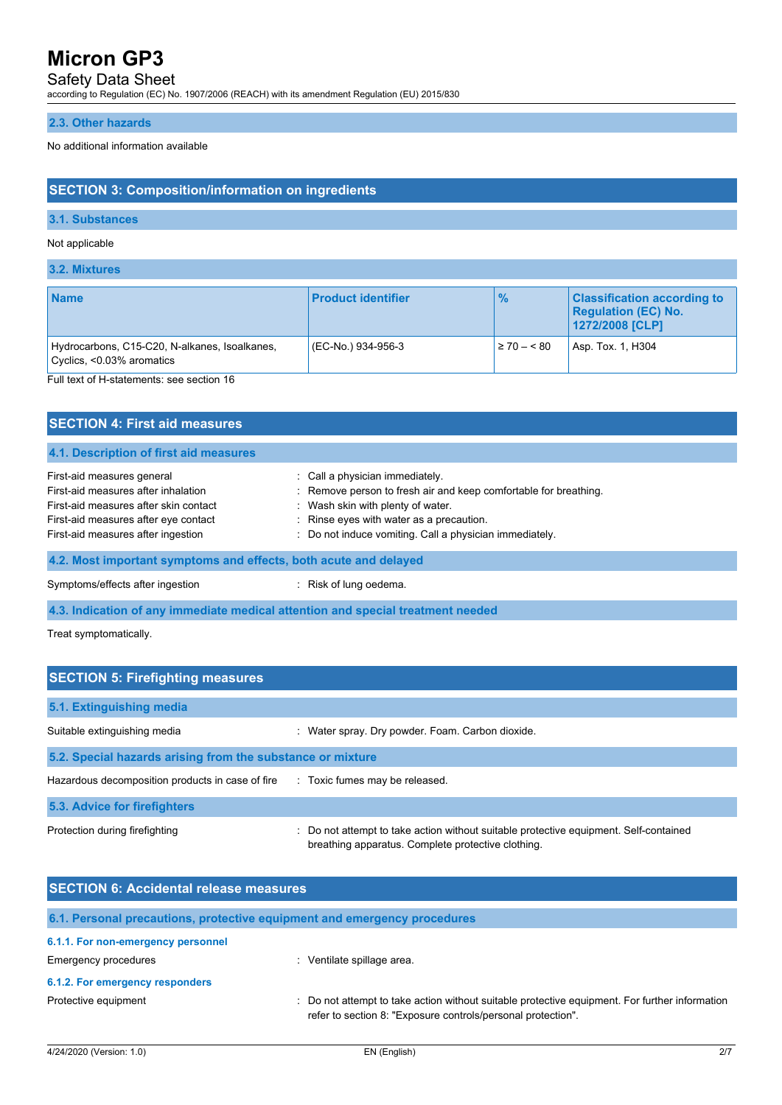# Safety Data Sheet

according to Regulation (EC) No. 1907/2006 (REACH) with its amendment Regulation (EU) 2015/830

### **2.3. Other hazards**

No additional information available

# **SECTION 3: Composition/information on ingredients**

### **3.1. Substances**

#### Not applicable

**3.2. Mixtures**

| <b>Name</b>                                                                        | <b>Product identifier</b> | $\frac{9}{6}$   | <b>Classification according to</b><br><b>Regulation (EC) No.</b><br>1272/2008 [CLP] |
|------------------------------------------------------------------------------------|---------------------------|-----------------|-------------------------------------------------------------------------------------|
| Hydrocarbons, C15-C20, N-alkanes, Isoalkanes,<br>$\vert$ Cyclics, <0.03% aromatics | (EC-No.) 934-956-3        | $\geq 70 - 580$ | Asp. Tox. 1, H304                                                                   |

Full text of H-statements: see section 16

| <b>SECTION 4: First aid measures</b>                                                                                                                                                     |                                                                                                                                                                                                                                                 |
|------------------------------------------------------------------------------------------------------------------------------------------------------------------------------------------|-------------------------------------------------------------------------------------------------------------------------------------------------------------------------------------------------------------------------------------------------|
| 4.1. Description of first aid measures                                                                                                                                                   |                                                                                                                                                                                                                                                 |
| First-aid measures general<br>First-aid measures after inhalation<br>First-aid measures after skin contact<br>First-aid measures after eye contact<br>First-aid measures after ingestion | : Call a physician immediately.<br>: Remove person to fresh air and keep comfortable for breathing.<br>: Wash skin with plenty of water.<br>: Rinse eyes with water as a precaution.<br>: Do not induce vomiting. Call a physician immediately. |
| 4.2. Most important symptoms and effects, both acute and delayed                                                                                                                         |                                                                                                                                                                                                                                                 |
| Symptoms/effects after ingestion                                                                                                                                                         | : Risk of lung oedema.                                                                                                                                                                                                                          |
| 4.3. Indication of any immediate medical attention and special treatment needed                                                                                                          |                                                                                                                                                                                                                                                 |

Treat symptomatically.

| <b>SECTION 5: Firefighting measures</b>                    |                                                                                                                                             |  |
|------------------------------------------------------------|---------------------------------------------------------------------------------------------------------------------------------------------|--|
| 5.1. Extinguishing media                                   |                                                                                                                                             |  |
| Suitable extinguishing media                               | : Water spray. Dry powder. Foam. Carbon dioxide.                                                                                            |  |
| 5.2. Special hazards arising from the substance or mixture |                                                                                                                                             |  |
| Hazardous decomposition products in case of fire           | : Toxic fumes may be released.                                                                                                              |  |
| 5.3. Advice for firefighters                               |                                                                                                                                             |  |
| Protection during firefighting                             | : Do not attempt to take action without suitable protective equipment. Self-contained<br>breathing apparatus. Complete protective clothing. |  |

| <b>SECTION 6: Accidental release measures</b> |                                                                                                                                                                |  |
|-----------------------------------------------|----------------------------------------------------------------------------------------------------------------------------------------------------------------|--|
|                                               | 6.1. Personal precautions, protective equipment and emergency procedures                                                                                       |  |
| 6.1.1. For non-emergency personnel            |                                                                                                                                                                |  |
| <b>Emergency procedures</b>                   | Ventilate spillage area.                                                                                                                                       |  |
| 6.1.2. For emergency responders               |                                                                                                                                                                |  |
| Protective equipment                          | : Do not attempt to take action without suitable protective equipment. For further information<br>refer to section 8: "Exposure controls/personal protection". |  |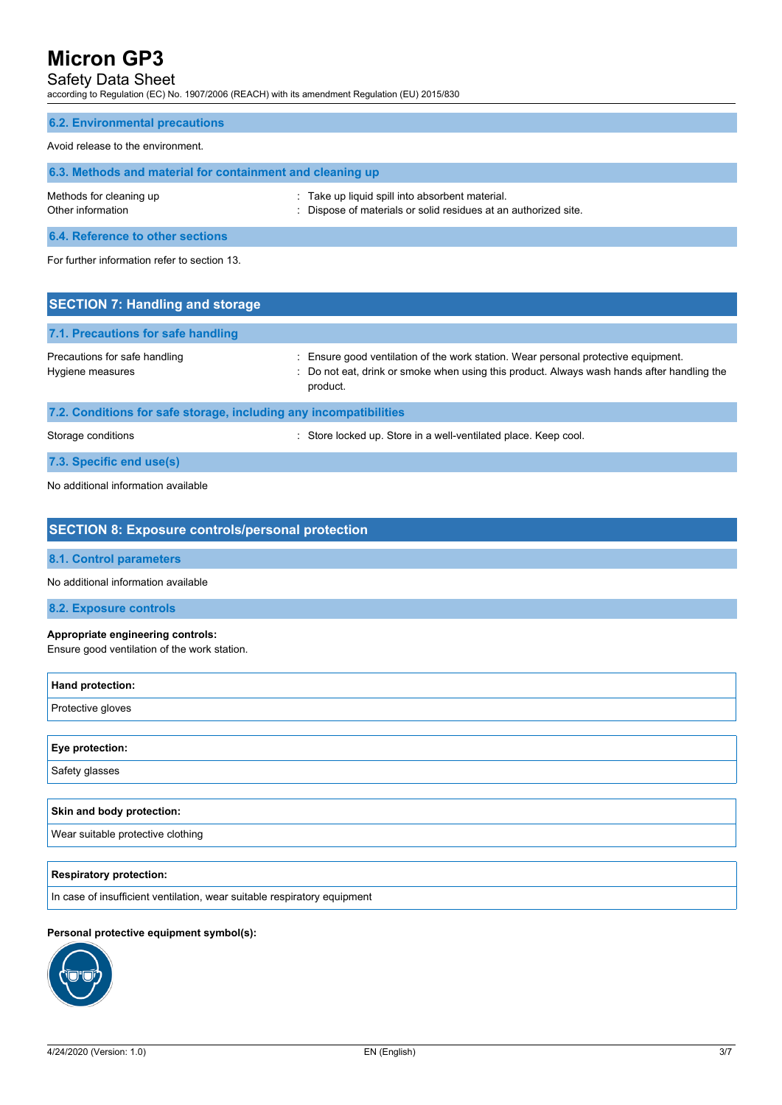# Safety Data Sheet

according to Regulation (EC) No. 1907/2006 (REACH) with its amendment Regulation (EU) 2015/830

# **6.2. Environmental precautions**

#### Avoid release to the environment.

| 6.3. Methods and material for containment and cleaning up |                                                                                                                    |  |
|-----------------------------------------------------------|--------------------------------------------------------------------------------------------------------------------|--|
| Methods for cleaning up<br>Other information              | : Take up liquid spill into absorbent material.<br>: Dispose of materials or solid residues at an authorized site. |  |
| <b>A A BULL</b> A STORY AND A RESIDENCE A RESIDENCE.      |                                                                                                                    |  |

**6.4. Reference to other sections**

For further information refer to section 13.

| <b>SECTION 7: Handling and storage</b>                            |                                                                                                                                                                                              |
|-------------------------------------------------------------------|----------------------------------------------------------------------------------------------------------------------------------------------------------------------------------------------|
| 7.1. Precautions for safe handling                                |                                                                                                                                                                                              |
| Precautions for safe handling<br>Hygiene measures                 | : Ensure good ventilation of the work station. Wear personal protective equipment.<br>: Do not eat, drink or smoke when using this product. Always wash hands after handling the<br>product. |
| 7.2. Conditions for safe storage, including any incompatibilities |                                                                                                                                                                                              |
| Storage conditions                                                | : Store locked up. Store in a well-ventilated place. Keep cool.                                                                                                                              |
| 7.3. Specific end use(s)                                          |                                                                                                                                                                                              |

No additional information available

| <b>SECTION 8: Exposure controls/personal protection</b>                           |
|-----------------------------------------------------------------------------------|
| 8.1. Control parameters                                                           |
| No additional information available                                               |
| 8.2. Exposure controls                                                            |
| Appropriate engineering controls:<br>Ensure good ventilation of the work station. |
| Hand protection:                                                                  |
| Protective gloves                                                                 |
|                                                                                   |
| Eye protection:                                                                   |
| Safety glasses                                                                    |
|                                                                                   |
| Skin and body protection:                                                         |
| Wear suitable protective clothing                                                 |
|                                                                                   |
| <b>Respiratory protection:</b>                                                    |
| In case of insufficient ventilation, wear suitable respiratory equipment          |
|                                                                                   |

### **Personal protective equipment symbol(s):**

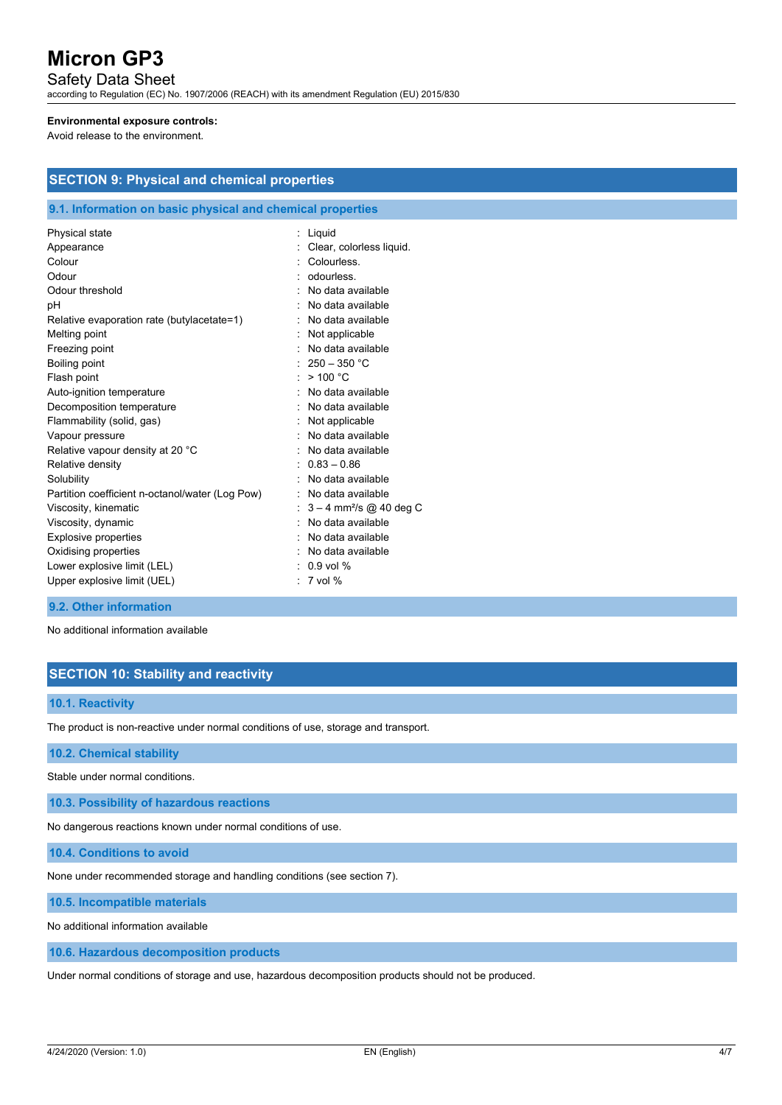## Safety Data Sheet

according to Regulation (EC) No. 1907/2006 (REACH) with its amendment Regulation (EU) 2015/830

#### **Environmental exposure controls:**

**SECTION 9: Physical and chemical properties**

Avoid release to the environment.

| 9.1. Information on basic physical and chemical properties |                                       |
|------------------------------------------------------------|---------------------------------------|
| Physical state                                             | Liquid                                |
| Appearance                                                 | Clear, colorless liquid.              |
| Colour                                                     | Colourless                            |
| Odour                                                      | odourless.                            |
| Odour threshold                                            | No data available                     |
| рH                                                         | No data available                     |
| Relative evaporation rate (butylacetate=1)                 | : No data available                   |
| Melting point                                              | Not applicable                        |
| Freezing point                                             | No data available                     |
| Boiling point                                              | : $250 - 350$ °C                      |
| Flash point                                                | : $> 100 °C$                          |
| Auto-ignition temperature                                  | No data available                     |
| Decomposition temperature                                  | : No data available                   |
| Flammability (solid, gas)                                  | Not applicable                        |
| Vapour pressure                                            | : No data available                   |
| Relative vapour density at 20 °C                           | No data available                     |
| Relative density                                           | $0.83 - 0.86$                         |
| Solubility                                                 | No data available                     |
| Partition coefficient n-octanol/water (Log Pow)            | : No data available                   |
| Viscosity, kinematic                                       | $3 - 4$ mm <sup>2</sup> /s @ 40 deg C |
| Viscosity, dynamic                                         | No data available                     |
| <b>Explosive properties</b>                                | No data available                     |
| Oxidising properties                                       | : No data available                   |
| Lower explosive limit (LEL)                                | $: 0.9$ vol %                         |
| Upper explosive limit (UEL)                                | $: 7$ vol %                           |
|                                                            |                                       |

#### **9.2. Other information**

No additional information available

# **SECTION 10: Stability and reactivity**

### **10.1. Reactivity**

The product is non-reactive under normal conditions of use, storage and transport.

### **10.2. Chemical stability**

Stable under normal conditions.

**10.3. Possibility of hazardous reactions**

No dangerous reactions known under normal conditions of use.

**10.4. Conditions to avoid**

None under recommended storage and handling conditions (see section 7).

**10.5. Incompatible materials**

No additional information available

**10.6. Hazardous decomposition products**

Under normal conditions of storage and use, hazardous decomposition products should not be produced.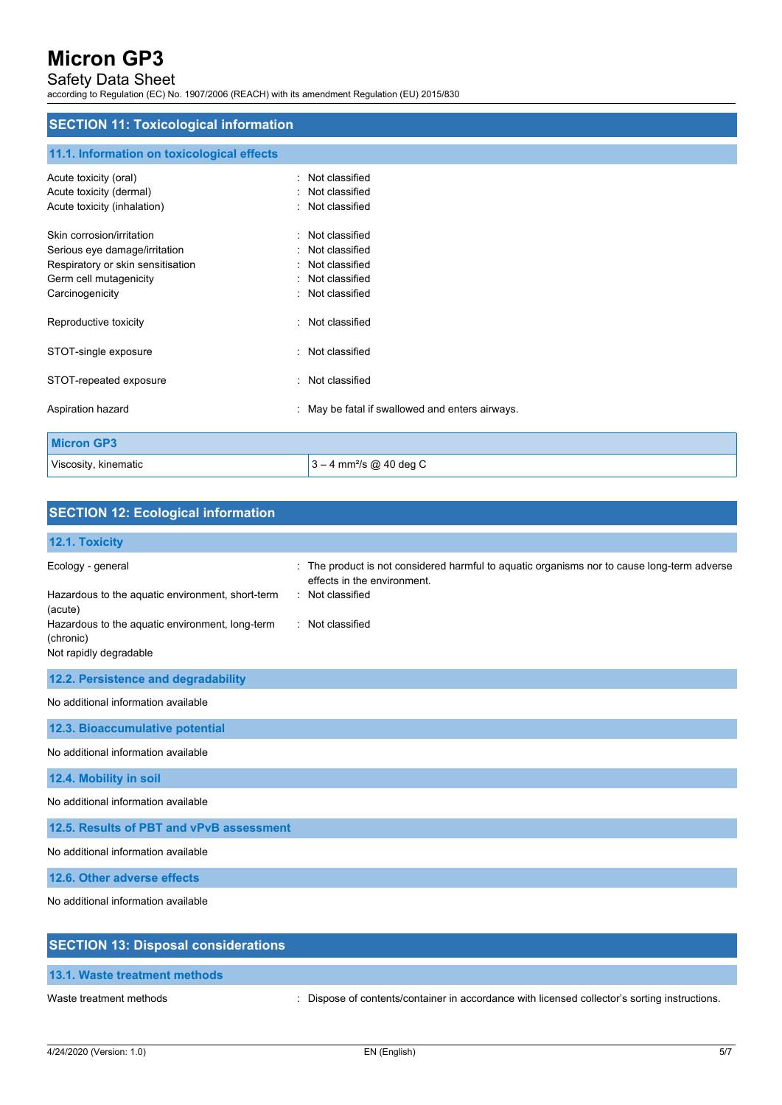# Safety Data Sheet

according to Regulation (EC) No. 1907/2006 (REACH) with its amendment Regulation (EU) 2015/830

# **SECTION 11: Toxicological information**

## **11.1. Information on toxicological effects**

| Acute toxicity (oral)<br>Acute toxicity (dermal)<br>Acute toxicity (inhalation) | : Not classified<br>: Not classified<br>: Not classified |
|---------------------------------------------------------------------------------|----------------------------------------------------------|
| Skin corrosion/irritation<br>Serious eye damage/irritation                      | : Not classified<br>: Not classified                     |
| Respiratory or skin sensitisation                                               | : Not classified                                         |
| Germ cell mutagenicity                                                          | : Not classified                                         |
| Carcinogenicity                                                                 | : Not classified                                         |
| Reproductive toxicity                                                           | : Not classified                                         |
| STOT-single exposure                                                            | : Not classified                                         |
| STOT-repeated exposure                                                          | : Not classified                                         |
| Aspiration hazard                                                               | : May be fatal if swallowed and enters airways.          |
| <b>Micron GP3</b>                                                               |                                                          |
| Viscosity, kinematic                                                            | $3 - 4$ mm <sup>2</sup> /s @ 40 deg C                    |

| <b>SECTION 12: Ecological information</b>                                                                                                        |                                                                                                                                                                    |
|--------------------------------------------------------------------------------------------------------------------------------------------------|--------------------------------------------------------------------------------------------------------------------------------------------------------------------|
| 12.1. Toxicity                                                                                                                                   |                                                                                                                                                                    |
| Ecology - general<br>Hazardous to the aquatic environment, short-term<br>(acute)<br>Hazardous to the aquatic environment, long-term<br>(chronic) | : The product is not considered harmful to aquatic organisms nor to cause long-term adverse<br>effects in the environment.<br>: Not classified<br>: Not classified |
| Not rapidly degradable                                                                                                                           |                                                                                                                                                                    |
| 12.2. Persistence and degradability                                                                                                              |                                                                                                                                                                    |
| No additional information available                                                                                                              |                                                                                                                                                                    |
| 12.3. Bioaccumulative potential                                                                                                                  |                                                                                                                                                                    |
| No additional information available                                                                                                              |                                                                                                                                                                    |
| 12.4. Mobility in soil                                                                                                                           |                                                                                                                                                                    |
| No additional information available                                                                                                              |                                                                                                                                                                    |
| 12.5. Results of PBT and vPvB assessment                                                                                                         |                                                                                                                                                                    |
| No additional information available                                                                                                              |                                                                                                                                                                    |
| 12.6. Other adverse effects                                                                                                                      |                                                                                                                                                                    |
| No additional information available                                                                                                              |                                                                                                                                                                    |
| <b>SECTION 13: Disposal considerations</b>                                                                                                       |                                                                                                                                                                    |

**13.1. Waste treatment methods**

Waste treatment methods : Dispose of contents/container in accordance with licensed collector's sorting instructions.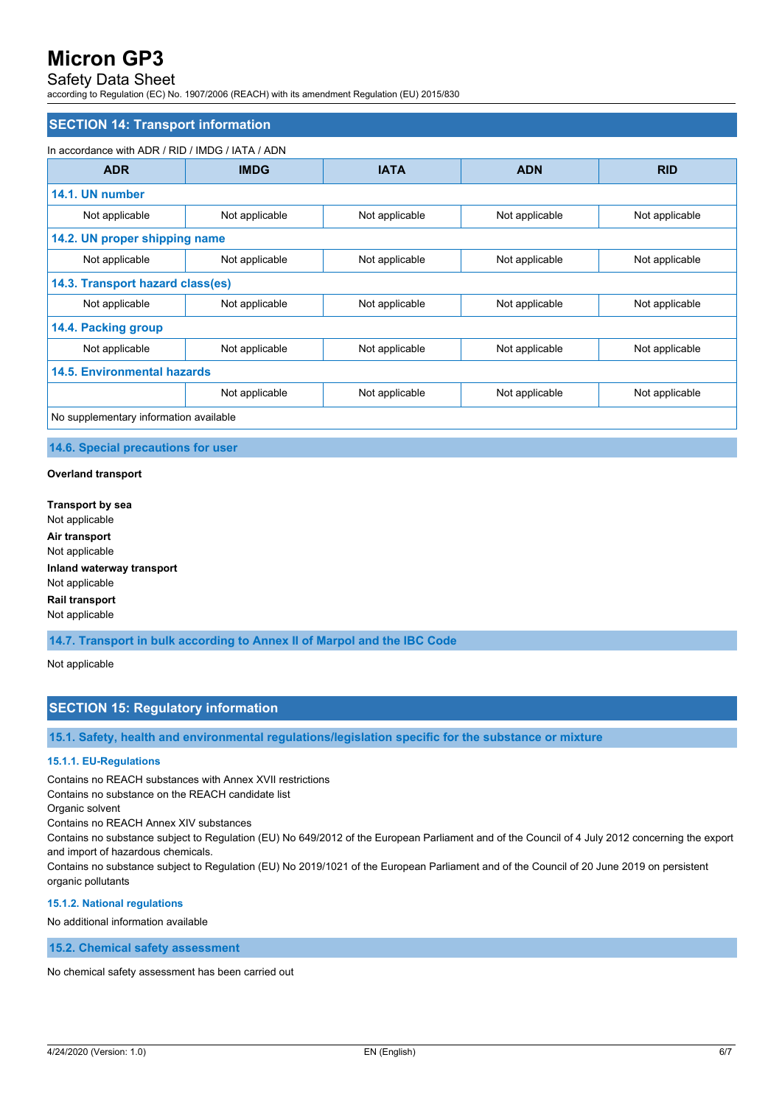# Safety Data Sheet

according to Regulation (EC) No. 1907/2006 (REACH) with its amendment Regulation (EU) 2015/830

#### **SECTION 14: Transport information**

#### In accordance with ADR / RID / IMDG / IATA / ADN

| <b>ADR</b>                             | <b>IMDG</b>    | <b>IATA</b>    | <b>ADN</b>     | <b>RID</b>     |
|----------------------------------------|----------------|----------------|----------------|----------------|
| 14.1. UN number                        |                |                |                |                |
| Not applicable                         | Not applicable | Not applicable | Not applicable | Not applicable |
| 14.2. UN proper shipping name          |                |                |                |                |
| Not applicable                         | Not applicable | Not applicable | Not applicable | Not applicable |
| 14.3. Transport hazard class(es)       |                |                |                |                |
| Not applicable                         | Not applicable | Not applicable | Not applicable | Not applicable |
| 14.4. Packing group                    |                |                |                |                |
| Not applicable                         | Not applicable | Not applicable | Not applicable | Not applicable |
| <b>14.5. Environmental hazards</b>     |                |                |                |                |
|                                        | Not applicable | Not applicable | Not applicable | Not applicable |
| No supplementary information available |                |                |                |                |

#### **14.6. Special precautions for user**

#### **Overland transport**

**Transport by sea** Not applicable **Air transport** Not applicable **Inland waterway transport** Not applicable **Rail transport** Not applicable

**14.7. Transport in bulk according to Annex II of Marpol and the IBC Code**

#### Not applicable

### **SECTION 15: Regulatory information**

**15.1. Safety, health and environmental regulations/legislation specific for the substance or mixture**

#### **15.1.1. EU-Regulations**

Contains no REACH substances with Annex XVII restrictions

Contains no substance on the REACH candidate list

Organic solvent

Contains no REACH Annex XIV substances

Contains no substance subject to Regulation (EU) No 649/2012 of the European Parliament and of the Council of 4 July 2012 concerning the export and import of hazardous chemicals.

Contains no substance subject to Regulation (EU) No 2019/1021 of the European Parliament and of the Council of 20 June 2019 on persistent organic pollutants

#### **15.1.2. National regulations**

No additional information available

**15.2. Chemical safety assessment**

No chemical safety assessment has been carried out